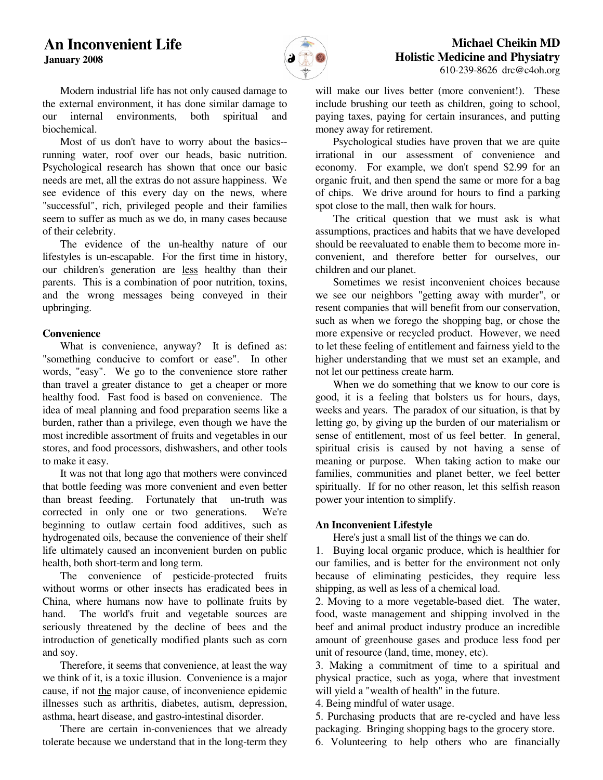**January 2008**



# **Michael Cheikin MD Holistic Medicine and Physiatry** 610-239-8626 drc@c4oh.org

 Modern industrial life has not only caused damage to the external environment, it has done similar damage to our internal environments, both spiritual and biochemical.

 Most of us don't have to worry about the basics- running water, roof over our heads, basic nutrition. Psychological research has shown that once our basic needs are met, all the extras do not assure happiness. We see evidence of this every day on the news, where "successful", rich, privileged people and their families seem to suffer as much as we do, in many cases because of their celebrity.

 The evidence of the un-healthy nature of our lifestyles is un-escapable. For the first time in history, our children's generation are less healthy than their parents. This is a combination of poor nutrition, toxins, and the wrong messages being conveyed in their upbringing.

### **Convenience**

 What is convenience, anyway? It is defined as: "something conducive to comfort or ease". In other words, "easy". We go to the convenience store rather than travel a greater distance to get a cheaper or more healthy food. Fast food is based on convenience. The idea of meal planning and food preparation seems like a burden, rather than a privilege, even though we have the most incredible assortment of fruits and vegetables in our stores, and food processors, dishwashers, and other tools to make it easy.

 It was not that long ago that mothers were convinced that bottle feeding was more convenient and even better than breast feeding. Fortunately that un-truth was corrected in only one or two generations. We're beginning to outlaw certain food additives, such as hydrogenated oils, because the convenience of their shelf life ultimately caused an inconvenient burden on public health, both short-term and long term.

 The convenience of pesticide-protected fruits without worms or other insects has eradicated bees in China, where humans now have to pollinate fruits by hand. The world's fruit and vegetable sources are seriously threatened by the decline of bees and the introduction of genetically modified plants such as corn and soy.

 Therefore, it seems that convenience, at least the way we think of it, is a toxic illusion. Convenience is a major cause, if not the major cause, of inconvenience epidemic illnesses such as arthritis, diabetes, autism, depression, asthma, heart disease, and gastro-intestinal disorder.

 There are certain in-conveniences that we already tolerate because we understand that in the long-term they will make our lives better (more convenient!). These include brushing our teeth as children, going to school, paying taxes, paying for certain insurances, and putting money away for retirement.

 Psychological studies have proven that we are quite irrational in our assessment of convenience and economy. For example, we don't spend \$2.99 for an organic fruit, and then spend the same or more for a bag of chips. We drive around for hours to find a parking spot close to the mall, then walk for hours.

 The critical question that we must ask is what assumptions, practices and habits that we have developed should be reevaluated to enable them to become more inconvenient, and therefore better for ourselves, our children and our planet.

 Sometimes we resist inconvenient choices because we see our neighbors "getting away with murder", or resent companies that will benefit from our conservation, such as when we forego the shopping bag, or chose the more expensive or recycled product. However, we need to let these feeling of entitlement and fairness yield to the higher understanding that we must set an example, and not let our pettiness create harm.

 When we do something that we know to our core is good, it is a feeling that bolsters us for hours, days, weeks and years. The paradox of our situation, is that by letting go, by giving up the burden of our materialism or sense of entitlement, most of us feel better. In general, spiritual crisis is caused by not having a sense of meaning or purpose. When taking action to make our families, communities and planet better, we feel better spiritually. If for no other reason, let this selfish reason power your intention to simplify.

# **An Inconvenient Lifestyle**

Here's just a small list of the things we can do.

1. Buying local organic produce, which is healthier for our families, and is better for the environment not only because of eliminating pesticides, they require less shipping, as well as less of a chemical load.

2. Moving to a more vegetable-based diet. The water, food, waste management and shipping involved in the beef and animal product industry produce an incredible amount of greenhouse gases and produce less food per unit of resource (land, time, money, etc).

3. Making a commitment of time to a spiritual and physical practice, such as yoga, where that investment will yield a "wealth of health" in the future.

4. Being mindful of water usage.

5. Purchasing products that are re-cycled and have less packaging. Bringing shopping bags to the grocery store. 6. Volunteering to help others who are financially